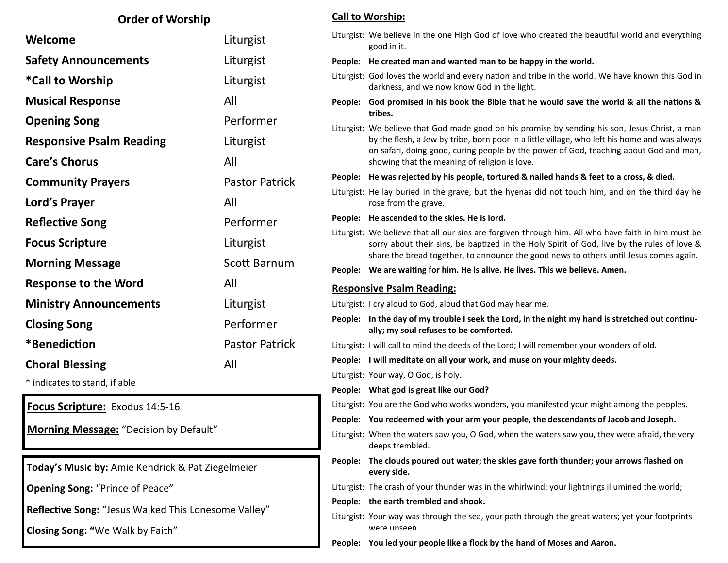| <b>Order of Worship</b>                                                                  |                       | <b>Call to Worship:</b> |                                                                                                                                                                                                                                                                                                                                            |
|------------------------------------------------------------------------------------------|-----------------------|-------------------------|--------------------------------------------------------------------------------------------------------------------------------------------------------------------------------------------------------------------------------------------------------------------------------------------------------------------------------------------|
| Welcome                                                                                  | Liturgist             |                         | Liturgist: We believe in the one High God of love who created the beautiful world and everything<br>good in it.                                                                                                                                                                                                                            |
| <b>Safety Announcements</b>                                                              | Liturgist             |                         | People: He created man and wanted man to be happy in the world.                                                                                                                                                                                                                                                                            |
| <i>*</i> Call to Worship                                                                 | Liturgist             |                         | Liturgist: God loves the world and every nation and tribe in the world. We have known this God in<br>darkness, and we now know God in the light.                                                                                                                                                                                           |
| <b>Musical Response</b>                                                                  | All                   |                         | People: God promised in his book the Bible that he would save the world & all the nations &                                                                                                                                                                                                                                                |
| <b>Opening Song</b>                                                                      | Performer             |                         | tribes.                                                                                                                                                                                                                                                                                                                                    |
| <b>Responsive Psalm Reading</b>                                                          | Liturgist             |                         | Liturgist: We believe that God made good on his promise by sending his son, Jesus Christ, a man<br>by the flesh, a Jew by tribe, born poor in a little village, who left his home and was always<br>on safari, doing good, curing people by the power of God, teaching about God and man,<br>showing that the meaning of religion is love. |
| <b>Care's Chorus</b>                                                                     | All                   |                         |                                                                                                                                                                                                                                                                                                                                            |
| <b>Community Prayers</b>                                                                 | <b>Pastor Patrick</b> |                         | People: He was rejected by his people, tortured & nailed hands & feet to a cross, & died.                                                                                                                                                                                                                                                  |
| Lord's Prayer                                                                            | All                   |                         | Liturgist: He lay buried in the grave, but the hyenas did not touch him, and on the third day he<br>rose from the grave.                                                                                                                                                                                                                   |
| <b>Reflective Song</b>                                                                   | Performer             |                         | People: He ascended to the skies. He is lord.                                                                                                                                                                                                                                                                                              |
| <b>Focus Scripture</b>                                                                   | Liturgist             |                         | Liturgist: We believe that all our sins are forgiven through him. All who have faith in him must be<br>sorry about their sins, be baptized in the Holy Spirit of God, live by the rules of love &                                                                                                                                          |
| <b>Morning Message</b>                                                                   | Scott Barnum          |                         | share the bread together, to announce the good news to others until Jesus comes again.<br>People: We are waiting for him. He is alive. He lives. This we believe. Amen.                                                                                                                                                                    |
| <b>Response to the Word</b>                                                              | All                   |                         |                                                                                                                                                                                                                                                                                                                                            |
| <b>Ministry Announcements</b>                                                            | Liturgist             |                         | <b>Responsive Psalm Reading:</b><br>Liturgist: I cry aloud to God, aloud that God may hear me.                                                                                                                                                                                                                                             |
|                                                                                          |                       |                         | People: In the day of my trouble I seek the Lord, in the night my hand is stretched out continu-                                                                                                                                                                                                                                           |
| <b>Closing Song</b>                                                                      |                       |                         |                                                                                                                                                                                                                                                                                                                                            |
|                                                                                          | Performer             |                         | ally; my soul refuses to be comforted.                                                                                                                                                                                                                                                                                                     |
| *Benediction                                                                             | <b>Pastor Patrick</b> |                         | Liturgist: I will call to mind the deeds of the Lord; I will remember your wonders of old.                                                                                                                                                                                                                                                 |
| <b>Choral Blessing</b>                                                                   | All                   |                         | People: I will meditate on all your work, and muse on your mighty deeds.                                                                                                                                                                                                                                                                   |
| * indicates to stand, if able                                                            |                       |                         | Liturgist: Your way, O God, is holy.                                                                                                                                                                                                                                                                                                       |
|                                                                                          |                       |                         | People: What god is great like our God?                                                                                                                                                                                                                                                                                                    |
| Focus Scripture: Exodus 14:5-16                                                          |                       |                         | Liturgist: You are the God who works wonders, you manifested your might among the peoples.<br>People: You redeemed with your arm your people, the descendants of Jacob and Joseph.                                                                                                                                                         |
| <b>Morning Message:</b> "Decision by Default"                                            |                       |                         | Liturgist: When the waters saw you, O God, when the waters saw you, they were afraid, the very<br>deeps trembled.                                                                                                                                                                                                                          |
| Today's Music by: Amie Kendrick & Pat Ziegelmeier                                        |                       |                         | People: The clouds poured out water; the skies gave forth thunder; your arrows flashed on<br>every side.                                                                                                                                                                                                                                   |
| <b>Opening Song: "Prince of Peace"</b>                                                   |                       |                         | Liturgist: The crash of your thunder was in the whirlwind; your lightnings illumined the world;                                                                                                                                                                                                                                            |
|                                                                                          |                       |                         | People: the earth trembled and shook.                                                                                                                                                                                                                                                                                                      |
| Reflective Song: "Jesus Walked This Lonesome Valley"<br>Closing Song: "We Walk by Faith" |                       |                         | Liturgist: Your way was through the sea, your path through the great waters; yet your footprints<br>were unseen.                                                                                                                                                                                                                           |